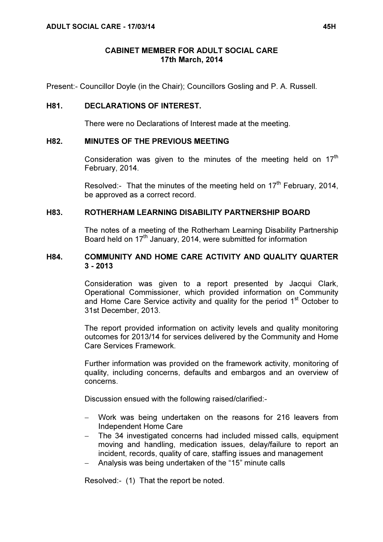## CABINET MEMBER FOR ADULT SOCIAL CARE 17th March, 2014

Present:- Councillor Doyle (in the Chair); Councillors Gosling and P. A. Russell.

### H81. DECLARATIONS OF INTEREST.

There were no Declarations of Interest made at the meeting.

### H82. MINUTES OF THE PREVIOUS MEETING

Consideration was given to the minutes of the meeting held on  $17<sup>th</sup>$ February, 2014.

Resolved:- That the minutes of the meeting held on 17<sup>th</sup> February, 2014, be approved as a correct record.

### H83. ROTHERHAM LEARNING DISABILITY PARTNERSHIP BOARD

 The notes of a meeting of the Rotherham Learning Disability Partnership Board held on 17<sup>th</sup> January, 2014, were submitted for information

### H84. COMMUNITY AND HOME CARE ACTIVITY AND QUALITY QUARTER 3 - 2013

 Consideration was given to a report presented by Jacqui Clark, Operational Commissioner, which provided information on Community and Home Care Service activity and quality for the period 1<sup>st</sup> October to 31st December, 2013.

The report provided information on activity levels and quality monitoring outcomes for 2013/14 for services delivered by the Community and Home Care Services Framework.

Further information was provided on the framework activity, monitoring of quality, including concerns, defaults and embargos and an overview of concerns.

Discussion ensued with the following raised/clarified:-

- − Work was being undertaken on the reasons for 216 leavers from Independent Home Care
- − The 34 investigated concerns had included missed calls, equipment moving and handling, medication issues, delay/failure to report an incident, records, quality of care, staffing issues and management
- − Analysis was being undertaken of the "15" minute calls

Resolved:- (1) That the report be noted.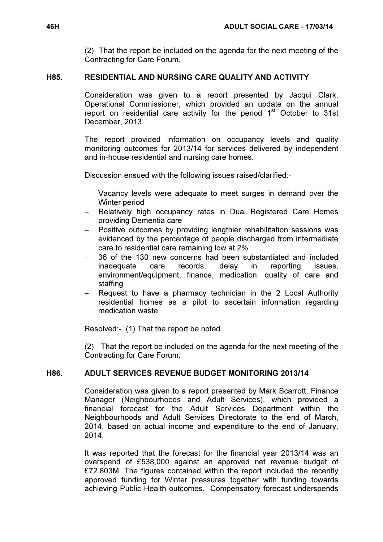(2) That the report be included on the agenda for the next meeting of the Contracting for Care Forum.

## H85. RESIDENTIAL AND NURSING CARE QUALITY AND ACTIVITY

 Consideration was given to a report presented by Jacqui Clark, Operational Commissioner, which provided an update on the annual report on residential care activity for the period  $1<sup>st</sup>$  October to 31st December, 2013.

The report provided information on occupancy levels and quality monitoring outcomes for 2013/14 for services delivered by independent and in-house residential and nursing care homes.

Discussion ensued with the following issues raised/clarified:-

- − Vacancy levels were adequate to meet surges in demand over the Winter period
- − Relatively high occupancy rates in Dual Registered Care Homes providing Dementia care
- Positive outcomes by providing lengthier rehabilitation sessions was evidenced by the percentage of people discharged from intermediate care to residential care remaining low at 2%
- − 36 of the 130 new concerns had been substantiated and included inadequate care records, delay in reporting issues, environment/equipment, finance, medication, quality of care and staffing
- Request to have a pharmacy technician in the 2 Local Authority residential homes as a pilot to ascertain information regarding medication waste

Resolved:- (1) That the report be noted.

(2) That the report be included on the agenda for the next meeting of the Contracting for Care Forum.

# H86. ADULT SERVICES REVENUE BUDGET MONITORING 2013/14

 Consideration was given to a report presented by Mark Scarrott, Finance Manager (Neighbourhoods and Adult Services), which provided a financial forecast for the Adult Services Department within the Neighbourhoods and Adult Services Directorate to the end of March, 2014, based on actual income and expenditure to the end of January, 2014.

It was reported that the forecast for the financial year 2013/14 was an overspend of £538,000 against an approved net revenue budget of £72.803M. The figures contained within the report included the recently approved funding for Winter pressures together with funding towards achieving Public Health outcomes. Compensatory forecast underspends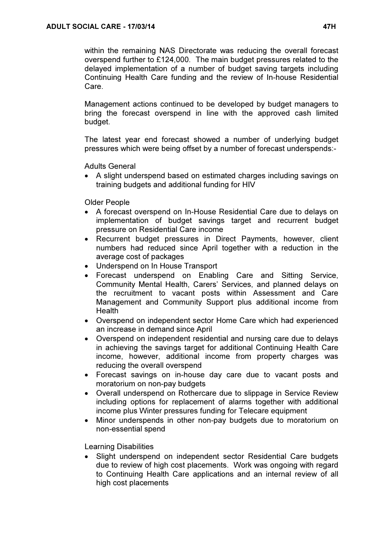within the remaining NAS Directorate was reducing the overall forecast overspend further to £124,000. The main budget pressures related to the delayed implementation of a number of budget saving targets including Continuing Health Care funding and the review of In-house Residential Care.

Management actions continued to be developed by budget managers to bring the forecast overspend in line with the approved cash limited budget.

The latest year end forecast showed a number of underlying budget pressures which were being offset by a number of forecast underspends:-

Adults General

• A slight underspend based on estimated charges including savings on training budgets and additional funding for HIV

Older People

- A forecast overspend on In-House Residential Care due to delays on implementation of budget savings target and recurrent budget pressure on Residential Care income
- Recurrent budget pressures in Direct Payments, however, client numbers had reduced since April together with a reduction in the average cost of packages
- Underspend on In House Transport
- Forecast underspend on Enabling Care and Sitting Service, Community Mental Health, Carers' Services, and planned delays on the recruitment to vacant posts within Assessment and Care Management and Community Support plus additional income from **Health**
- Overspend on independent sector Home Care which had experienced an increase in demand since April
- Overspend on independent residential and nursing care due to delays in achieving the savings target for additional Continuing Health Care income, however, additional income from property charges was reducing the overall overspend
- Forecast savings on in-house day care due to vacant posts and moratorium on non-pay budgets
- Overall underspend on Rothercare due to slippage in Service Review including options for replacement of alarms together with additional income plus Winter pressures funding for Telecare equipment
- Minor underspends in other non-pay budgets due to moratorium on non-essential spend

Learning Disabilities

• Slight underspend on independent sector Residential Care budgets due to review of high cost placements. Work was ongoing with regard to Continuing Health Care applications and an internal review of all high cost placements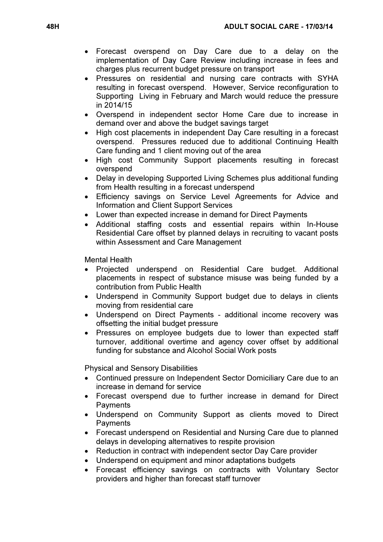- Forecast overspend on Day Care due to a delay on the implementation of Day Care Review including increase in fees and charges plus recurrent budget pressure on transport
- Pressures on residential and nursing care contracts with SYHA resulting in forecast overspend. However, Service reconfiguration to Supporting Living in February and March would reduce the pressure in 2014/15
- Overspend in independent sector Home Care due to increase in demand over and above the budget savings target
- High cost placements in independent Day Care resulting in a forecast overspend. Pressures reduced due to additional Continuing Health Care funding and 1 client moving out of the area
- High cost Community Support placements resulting in forecast overspend
- Delay in developing Supported Living Schemes plus additional funding from Health resulting in a forecast underspend
- Efficiency savings on Service Level Agreements for Advice and Information and Client Support Services
- Lower than expected increase in demand for Direct Payments
- Additional staffing costs and essential repairs within In-House Residential Care offset by planned delays in recruiting to vacant posts within Assessment and Care Management

Mental Health

- Projected underspend on Residential Care budget. Additional placements in respect of substance misuse was being funded by a contribution from Public Health
- Underspend in Community Support budget due to delays in clients moving from residential care
- Underspend on Direct Payments additional income recovery was offsetting the initial budget pressure
- Pressures on employee budgets due to lower than expected staff turnover, additional overtime and agency cover offset by additional funding for substance and Alcohol Social Work posts

Physical and Sensory Disabilities

- Continued pressure on Independent Sector Domiciliary Care due to an increase in demand for service
- Forecast overspend due to further increase in demand for Direct **Payments**
- Underspend on Community Support as clients moved to Direct **Payments**
- Forecast underspend on Residential and Nursing Care due to planned delays in developing alternatives to respite provision
- Reduction in contract with independent sector Day Care provider
- Underspend on equipment and minor adaptations budgets
- Forecast efficiency savings on contracts with Voluntary Sector providers and higher than forecast staff turnover